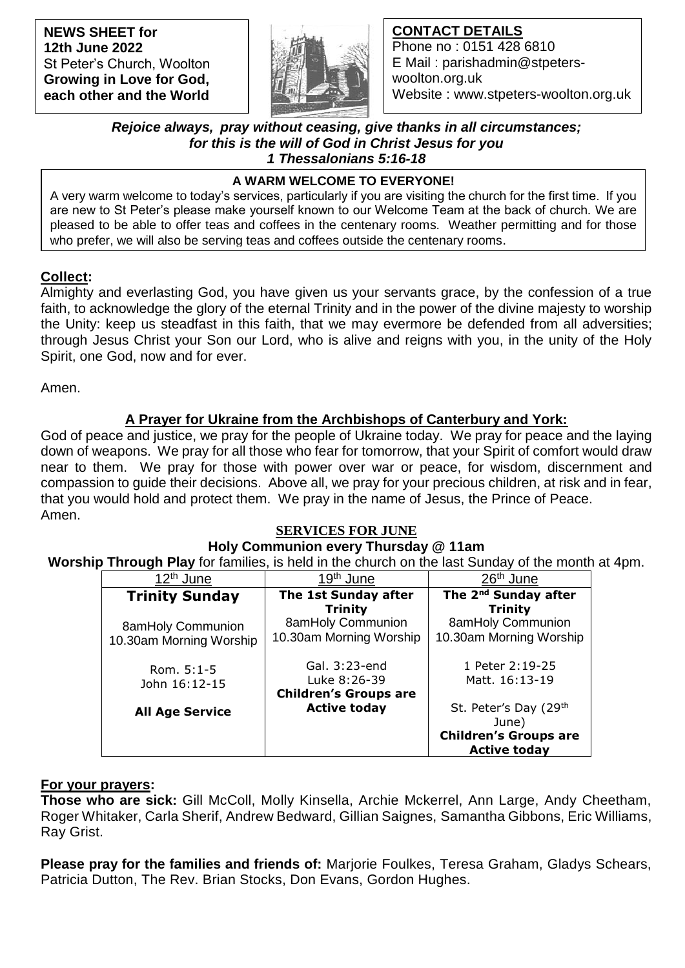**NEWS SHEET for 12th June 2022** St Peter's Church, Woolton **Growing in Love for God, each other and the World**



## **CONTACT DETAILS**

Phone no : 0151 428 6810 E Mail : parishadmin@stpeterswoolton.org.uk Website : www.stpeters-woolton.org.uk

### *Rejoice always, pray without ceasing, give thanks in all circumstances; for this is the will of God in Christ Jesus for you 1 Thessalonians 5:16-18*

### **A WARM WELCOME TO EVERYONE!**

 who prefer, we will also be serving teas and coffees outside the centenary rooms. A very warm welcome to today's services, particularly if you are visiting the church for the first time. If you are new to St Peter's please make yourself known to our Welcome Team at the back of church. We are pleased to be able to offer teas and coffees in the centenary rooms. Weather permitting and for those

## **Collect:**

Almighty and everlasting God, you have given us your servants grace, by the confession of a true faith, to acknowledge the glory of the eternal Trinity and in the power of the divine majesty to worship the Unity: keep us steadfast in this faith, that we may evermore be defended from all adversities; through Jesus Christ your Son our Lord, who is alive and reigns with you, in the unity of the Holy Spirit, one God, now and for ever.

Amen.

## **A Prayer for Ukraine from the Archbishops of Canterbury and York:**

God of peace and justice, we pray for the people of Ukraine today. We pray for peace and the laying down of weapons. We pray for all those who fear for tomorrow, that your Spirit of comfort would draw near to them. We pray for those with power over war or peace, for wisdom, discernment and compassion to guide their decisions. Above all, we pray for your precious children, at risk and in fear, that you would hold and protect them. We pray in the name of Jesus, the Prince of Peace. Amen.

## **SERVICES FOR JUNE**

# **Holy Communion every Thursday @ 11am**

**Worship Through Play** for families, is held in the church on the last Sunday of the month at 4pm.

| 12 <sup>th</sup> June   | 19 <sup>th</sup> June        | 26 <sup>th</sup> June                               |
|-------------------------|------------------------------|-----------------------------------------------------|
| <b>Trinity Sunday</b>   | The 1st Sunday after         | The 2 <sup>nd</sup> Sunday after                    |
|                         | <b>Trinity</b>               | <b>Trinity</b>                                      |
| 8amHoly Communion       | 8amHoly Communion            | 8amHoly Communion                                   |
| 10.30am Morning Worship | 10.30am Morning Worship      | 10.30am Morning Worship                             |
| Rom. $5:1-5$            | Gal. 3:23-end                | 1 Peter 2:19-25                                     |
| John 16:12-15           | Luke 8:26-39                 | Matt. 16:13-19                                      |
|                         | <b>Children's Groups are</b> |                                                     |
| <b>All Age Service</b>  | <b>Active today</b>          | St. Peter's Day (29th                               |
|                         |                              | June)                                               |
|                         |                              | <b>Children's Groups are</b><br><b>Active today</b> |

## **For your prayers:**

**Those who are sick:** Gill McColl, Molly Kinsella, Archie Mckerrel, Ann Large, Andy Cheetham, Roger Whitaker, Carla Sherif, Andrew Bedward, Gillian Saignes, Samantha Gibbons, Eric Williams, Ray Grist.

**Please pray for the families and friends of:** Marjorie Foulkes, Teresa Graham, Gladys Schears, Patricia Dutton, The Rev. Brian Stocks, Don Evans, Gordon Hughes.